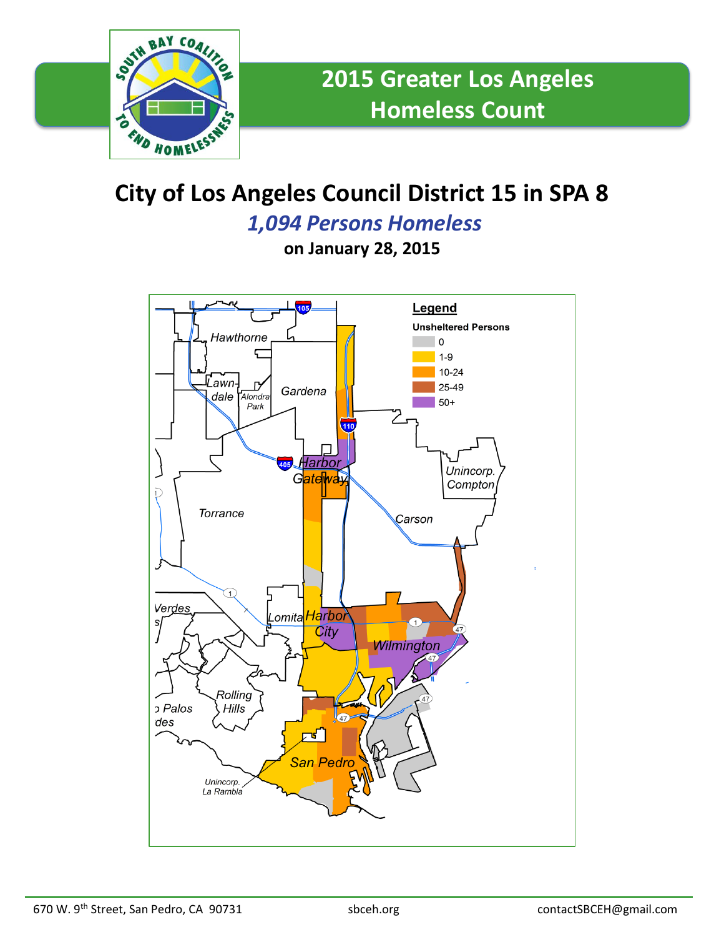

## **City of Los Angeles Council District 15 in SPA 8**

*1,094 Persons Homeless*

**on January 28, 2015**